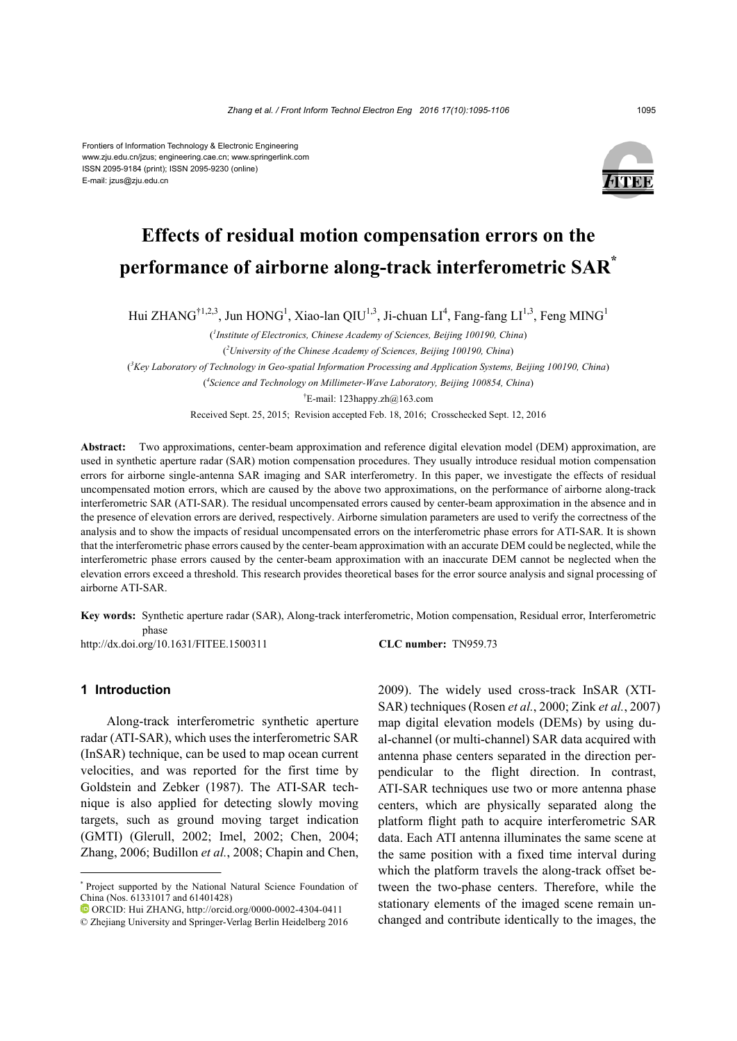Frontiers of Information Technology & Electronic Engineering www.zju.edu.cn/jzus; engineering.cae.cn; www.springerlink.com ISSN 2095-9184 (print); ISSN 2095-9230 (online) E-mail: jzus@zju.edu.cn



# **Effects of residual motion compensation errors on the performance of airborne along-track interferometric SAR\***

Hui ZHANG<sup>†1,2,3</sup>, Jun HONG<sup>1</sup>, Xiao-lan QIU<sup>1,3</sup>, Ji-chuan LI<sup>4</sup>, Fang-fang LI<sup>1,3</sup>, Feng MING<sup>1</sup>

( *1 Institute of Electronics, Chinese Academy of Sciences, Beijing 100190, China*) ( *2 University of the Chinese Academy of Sciences, Beijing 100190, China*) ( *3 Key Laboratory of Technology in Geo-spatial Information Processing and Application Systems, Beijing 100190, China*) ( *4 Science and Technology on Millimeter-Wave Laboratory, Beijing 100854, China*) † E-mail: 123happy.zh@163.com

Received Sept. 25, 2015; Revision accepted Feb. 18, 2016; Crosschecked Sept. 12, 2016

**Abstract:** Two approximations, center-beam approximation and reference digital elevation model (DEM) approximation, are used in synthetic aperture radar (SAR) motion compensation procedures. They usually introduce residual motion compensation errors for airborne single-antenna SAR imaging and SAR interferometry. In this paper, we investigate the effects of residual uncompensated motion errors, which are caused by the above two approximations, on the performance of airborne along-track interferometric SAR (ATI-SAR). The residual uncompensated errors caused by center-beam approximation in the absence and in the presence of elevation errors are derived, respectively. Airborne simulation parameters are used to verify the correctness of the analysis and to show the impacts of residual uncompensated errors on the interferometric phase errors for ATI-SAR. It is shown that the interferometric phase errors caused by the center-beam approximation with an accurate DEM could be neglected, while the interferometric phase errors caused by the center-beam approximation with an inaccurate DEM cannot be neglected when the elevation errors exceed a threshold. This research provides theoretical bases for the error source analysis and signal processing of airborne ATI-SAR.

**Key words:** Synthetic aperture radar (SAR), Along-track interferometric, Motion compensation, Residual error, Interferometric phase

http://dx.doi.org/10.1631/FITEE.1500311 **CLC number:** TN959.73

#### **1 Introduction**

Along-track interferometric synthetic aperture radar (ATI-SAR), which uses the interferometric SAR (InSAR) technique, can be used to map ocean current velocities, and was reported for the first time by Goldstein and Zebker (1987). The ATI-SAR technique is also applied for detecting slowly moving targets, such as ground moving target indication (GMTI) (Glerull, 2002; Imel, 2002; Chen, 2004; Zhang, 2006; Budillon *et al.*, 2008; Chapin and Chen, 2009). The widely used cross-track InSAR (XTI-SAR) techniques (Rosen *et al.*, 2000; Zink *et al.*, 2007) map digital elevation models (DEMs) by using dual-channel (or multi-channel) SAR data acquired with antenna phase centers separated in the direction perpendicular to the flight direction. In contrast, ATI-SAR techniques use two or more antenna phase centers, which are physically separated along the platform flight path to acquire interferometric SAR data. Each ATI antenna illuminates the same scene at the same position with a fixed time interval during which the platform travels the along-track offset between the two-phase centers. Therefore, while the stationary elements of the imaged scene remain unchanged and contribute identically to the images, the

<sup>\*</sup> Project supported by the National Natural Science Foundation of China (Nos. 61331017 and 61401428)

ORCID: Hui ZHANG, http://orcid.org/0000-0002-4304-0411 © Zhejiang University and Springer-Verlag Berlin Heidelberg 2016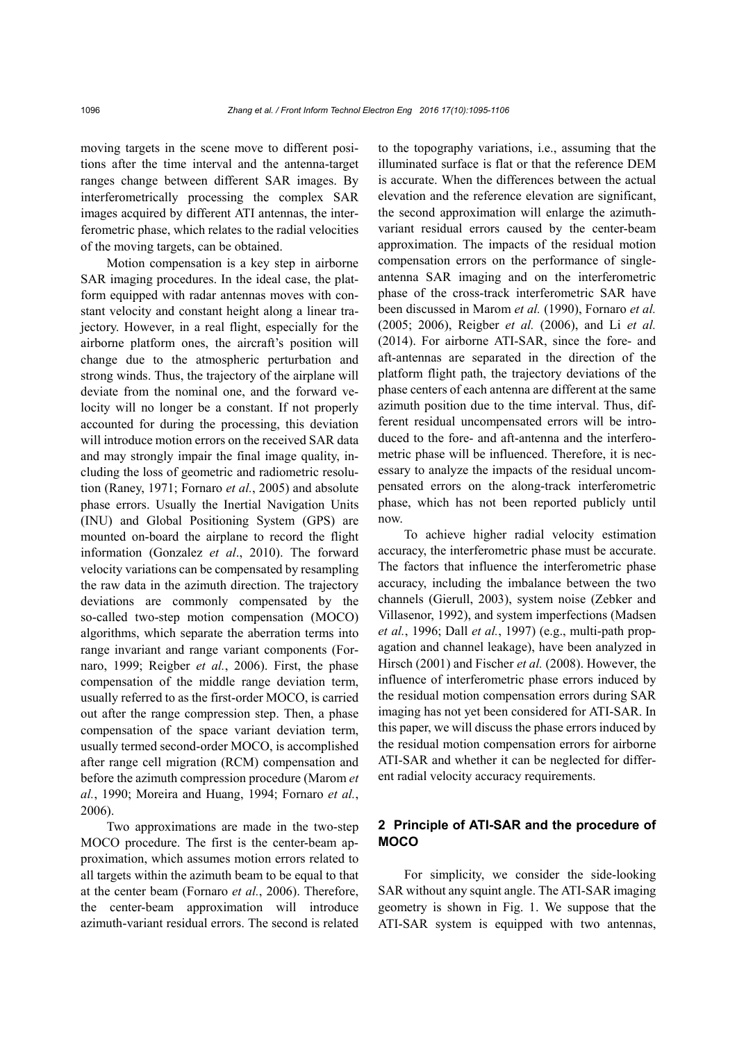moving targets in the scene move to different positions after the time interval and the antenna-target ranges change between different SAR images. By interferometrically processing the complex SAR images acquired by different ATI antennas, the interferometric phase, which relates to the radial velocities of the moving targets, can be obtained.

Motion compensation is a key step in airborne SAR imaging procedures. In the ideal case, the platform equipped with radar antennas moves with constant velocity and constant height along a linear trajectory. However, in a real flight, especially for the airborne platform ones, the aircraft's position will change due to the atmospheric perturbation and strong winds. Thus, the trajectory of the airplane will deviate from the nominal one, and the forward velocity will no longer be a constant. If not properly accounted for during the processing, this deviation will introduce motion errors on the received SAR data and may strongly impair the final image quality, including the loss of geometric and radiometric resolution (Raney, 1971; Fornaro *et al.*, 2005) and absolute phase errors. Usually the Inertial Navigation Units (INU) and Global Positioning System (GPS) are mounted on-board the airplane to record the flight information (Gonzalez *et al*., 2010). The forward velocity variations can be compensated by resampling the raw data in the azimuth direction. The trajectory deviations are commonly compensated by the so-called two-step motion compensation (MOCO) algorithms, which separate the aberration terms into range invariant and range variant components (Fornaro, 1999; Reigber *et al.*, 2006). First, the phase compensation of the middle range deviation term, usually referred to as the first-order MOCO, is carried out after the range compression step. Then, a phase compensation of the space variant deviation term, usually termed second-order MOCO, is accomplished after range cell migration (RCM) compensation and before the azimuth compression procedure (Marom *et al.*, 1990; Moreira and Huang, 1994; Fornaro *et al.*, 2006).

Two approximations are made in the two-step MOCO procedure. The first is the center-beam approximation, which assumes motion errors related to all targets within the azimuth beam to be equal to that at the center beam (Fornaro *et al.*, 2006). Therefore, the center-beam approximation will introduce azimuth-variant residual errors. The second is related to the topography variations, i.e., assuming that the illuminated surface is flat or that the reference DEM is accurate. When the differences between the actual elevation and the reference elevation are significant, the second approximation will enlarge the azimuthvariant residual errors caused by the center-beam approximation. The impacts of the residual motion compensation errors on the performance of singleantenna SAR imaging and on the interferometric phase of the cross-track interferometric SAR have been discussed in Marom *et al.* (1990), Fornaro *et al.* (2005; 2006), Reigber *et al.* (2006), and Li *et al.* (2014). For airborne ATI-SAR, since the fore- and aft-antennas are separated in the direction of the platform flight path, the trajectory deviations of the phase centers of each antenna are different at the same azimuth position due to the time interval. Thus, different residual uncompensated errors will be introduced to the fore- and aft-antenna and the interferometric phase will be influenced. Therefore, it is necessary to analyze the impacts of the residual uncompensated errors on the along-track interferometric phase, which has not been reported publicly until now.

To achieve higher radial velocity estimation accuracy, the interferometric phase must be accurate. The factors that influence the interferometric phase accuracy, including the imbalance between the two channels (Gierull, 2003), system noise (Zebker and Villasenor, 1992), and system imperfections (Madsen *et al.*, 1996; Dall *et al.*, 1997) (e.g., multi-path propagation and channel leakage), have been analyzed in Hirsch (2001) and Fischer *et al.* (2008). However, the influence of interferometric phase errors induced by the residual motion compensation errors during SAR imaging has not yet been considered for ATI-SAR. In this paper, we will discuss the phase errors induced by the residual motion compensation errors for airborne ATI-SAR and whether it can be neglected for different radial velocity accuracy requirements.

## **2 Principle of ATI-SAR and the procedure of MOCO**

For simplicity, we consider the side-looking SAR without any squint angle. The ATI-SAR imaging geometry is shown in Fig. 1. We suppose that the ATI-SAR system is equipped with two antennas,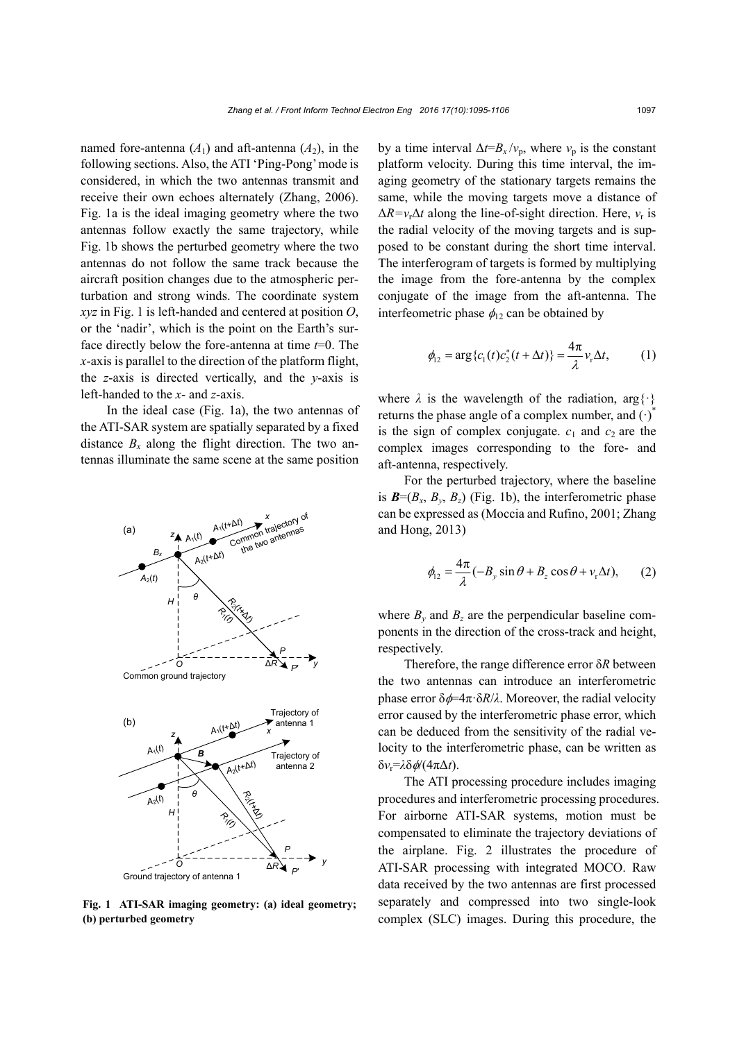named fore-antenna  $(A_1)$  and aft-antenna  $(A_2)$ , in the following sections. Also, the ATI 'Ping-Pong' mode is considered, in which the two antennas transmit and receive their own echoes alternately (Zhang, 2006). Fig. 1a is the ideal imaging geometry where the two antennas follow exactly the same trajectory, while Fig. 1b shows the perturbed geometry where the two antennas do not follow the same track because the aircraft position changes due to the atmospheric perturbation and strong winds. The coordinate system *xyz* in Fig. 1 is left-handed and centered at position *O*, or the 'nadir', which is the point on the Earth's surface directly below the fore-antenna at time *t*=0. The *x*-axis is parallel to the direction of the platform flight, the *z*-axis is directed vertically, and the *y*-axis is left-handed to the *x*- and *z*-axis.

In the ideal case (Fig. 1a), the two antennas of the ATI-SAR system are spatially separated by a fixed distance  $B_x$  along the flight direction. The two antennas illuminate the same scene at the same position



**Fig. 1 ATI-SAR imaging geometry: (a) ideal geometry; (b) perturbed geometry** 

by a time interval  $\Delta t = B_x / v_p$ , where  $v_p$  is the constant platform velocity. During this time interval, the imaging geometry of the stationary targets remains the same, while the moving targets move a distance of  $\Delta R = v_r \Delta t$  along the line-of-sight direction. Here,  $v_r$  is the radial velocity of the moving targets and is supposed to be constant during the short time interval. The interferogram of targets is formed by multiplying the image from the fore-antenna by the complex conjugate of the image from the aft-antenna. The interfeometric phase  $\phi_{12}$  can be obtained by

$$
\phi_{12} = \arg \{c_1(t)c_2^*(t + \Delta t)\} = \frac{4\pi}{\lambda} v_r \Delta t, \quad (1)
$$

where  $\lambda$  is the wavelength of the radiation, arg $\{\cdot\}$ returns the phase angle of a complex number, and  $(\cdot)^*$ is the sign of complex conjugate.  $c_1$  and  $c_2$  are the complex images corresponding to the fore- and aft-antenna, respectively.

For the perturbed trajectory, where the baseline is  $\mathbf{B}=(B_x, B_y, B_z)$  (Fig. 1b), the interferometric phase can be expressed as (Moccia and Rufino, 2001; Zhang and Hong, 2013)

$$
\phi_{12} = \frac{4\pi}{\lambda} (-B_y \sin \theta + B_z \cos \theta + v_r \Delta t), \qquad (2)
$$

where  $B<sub>v</sub>$  and  $B<sub>z</sub>$  are the perpendicular baseline components in the direction of the cross-track and height, respectively.

Therefore, the range difference error δ*R* between the two antennas can introduce an interferometric phase error  $\delta \phi = 4\pi \cdot \delta R/\lambda$ . Moreover, the radial velocity error caused by the interferometric phase error, which can be deduced from the sensitivity of the radial velocity to the interferometric phase, can be written as δ*v*r=*λ*δ/(4πΔ*t*).

The ATI processing procedure includes imaging procedures and interferometric processing procedures. For airborne ATI-SAR systems, motion must be compensated to eliminate the trajectory deviations of the airplane. Fig. 2 illustrates the procedure of ATI-SAR processing with integrated MOCO. Raw data received by the two antennas are first processed separately and compressed into two single-look complex (SLC) images. During this procedure, the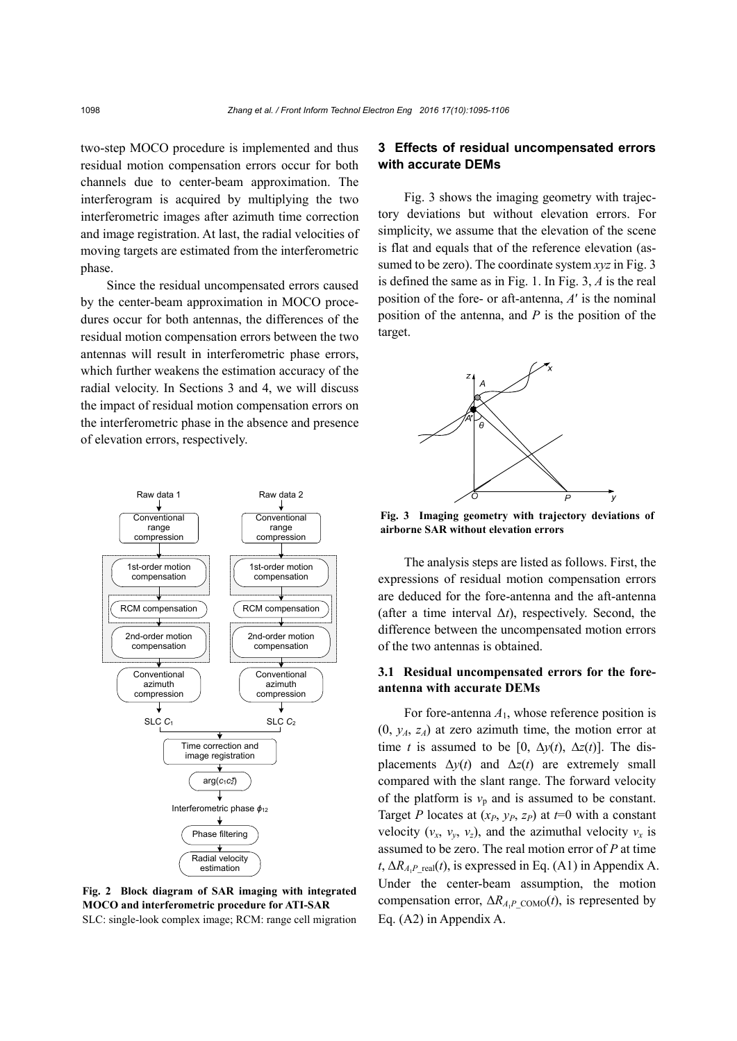two-step MOCO procedure is implemented and thus residual motion compensation errors occur for both channels due to center-beam approximation. The interferogram is acquired by multiplying the two interferometric images after azimuth time correction and image registration. At last, the radial velocities of moving targets are estimated from the interferometric phase.

Since the residual uncompensated errors caused by the center-beam approximation in MOCO procedures occur for both antennas, the differences of the residual motion compensation errors between the two antennas will result in interferometric phase errors, which further weakens the estimation accuracy of the radial velocity. In Sections 3 and 4, we will discuss the impact of residual motion compensation errors on the interferometric phase in the absence and presence of elevation errors, respectively.



**Fig. 2 Block diagram of SAR imaging with integrated MOCO and interferometric procedure for ATI-SAR**  SLC: single-look complex image; RCM: range cell migration

# **3 Effects of residual uncompensated errors with accurate DEMs**

Fig. 3 shows the imaging geometry with trajectory deviations but without elevation errors. For simplicity, we assume that the elevation of the scene is flat and equals that of the reference elevation (assumed to be zero). The coordinate system *xyz* in Fig. 3 is defined the same as in Fig. 1. In Fig. 3, *A* is the real position of the fore- or aft-antenna, *A*′ is the nominal position of the antenna, and *P* is the position of the target.



**Fig. 3 Imaging geometry with trajectory deviations of airborne SAR without elevation errors** 

The analysis steps are listed as follows. First, the expressions of residual motion compensation errors are deduced for the fore-antenna and the aft-antenna (after a time interval  $\Delta t$ ), respectively. Second, the difference between the uncompensated motion errors of the two antennas is obtained.

## **3.1 Residual uncompensated errors for the foreantenna with accurate DEMs**

For fore-antenna *A*1, whose reference position is  $(0, y_A, z_A)$  at zero azimuth time, the motion error at time *t* is assumed to be [0,  $\Delta y(t)$ ,  $\Delta z(t)$ ]. The displacements  $\Delta y(t)$  and  $\Delta z(t)$  are extremely small compared with the slant range. The forward velocity of the platform is  $v_p$  and is assumed to be constant. Target *P* locates at  $(x_P, y_P, z_P)$  at  $t=0$  with a constant velocity  $(v_x, v_y, v_z)$ , and the azimuthal velocity  $v_x$  is assumed to be zero. The real motion error of *P* at time  $t, \Delta R_{A,P}$ <sub>real</sub> $(t)$ , is expressed in Eq. (A1) in Appendix A. Under the center-beam assumption, the motion compensation error,  $\Delta R_{A,P \text{ COMO}}(t)$ , is represented by Eq. (A2) in Appendix A.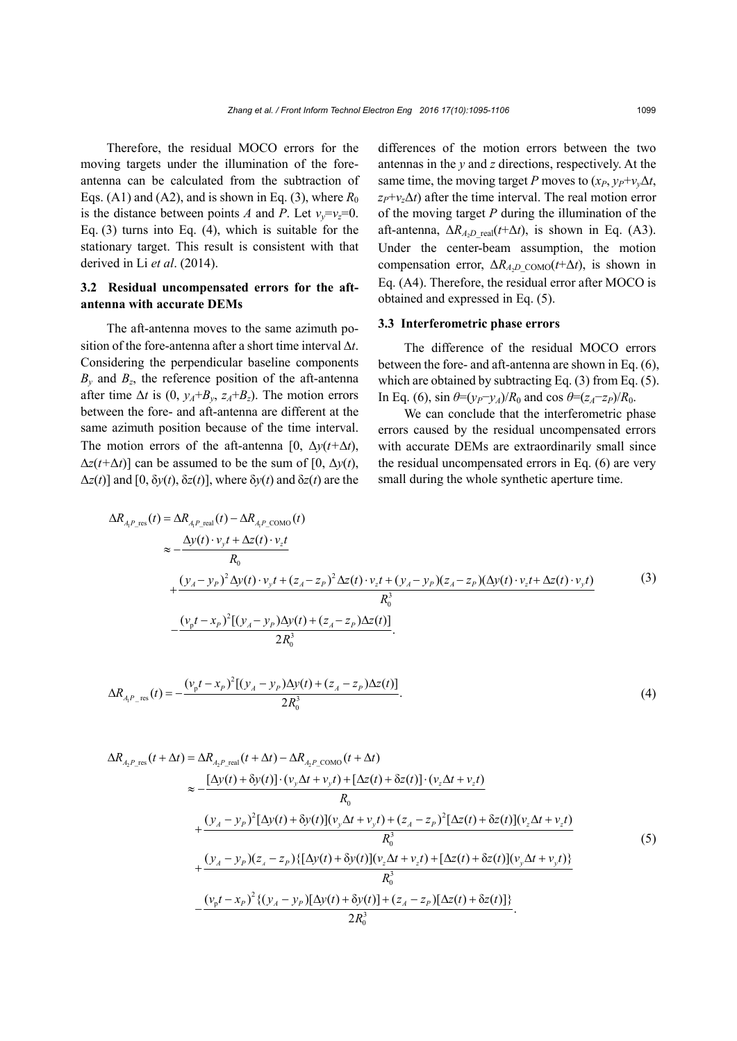Therefore, the residual MOCO errors for the moving targets under the illumination of the foreantenna can be calculated from the subtraction of Eqs. (A1) and (A2), and is shown in Eq. (3), where  $R_0$ is the distance between points *A* and *P*. Let  $v_y = v_z = 0$ . Eq. (3) turns into Eq. (4), which is suitable for the stationary target. This result is consistent with that derived in Li *et al*. (2014).

## **3.2 Residual uncompensated errors for the aftantenna with accurate DEMs**

The aft-antenna moves to the same azimuth position of the fore-antenna after a short time interval  $\Delta t$ . Considering the perpendicular baseline components  $B<sub>y</sub>$  and  $B<sub>z</sub>$ , the reference position of the aft-antenna after time  $\Delta t$  is  $(0, y_A + B_y, z_A + B_z)$ . The motion errors between the fore- and aft-antenna are different at the same azimuth position because of the time interval. The motion errors of the aft-antenna [0,  $\Delta y(t+\Delta t)$ ,  $\Delta z(t+\Delta t)$ ] can be assumed to be the sum of [0,  $\Delta y(t)$ ,  $Δz(t)$ ] and [0, δ*y*(*t*), δ*z*(*t*)], where δ*y*(*t*) and δ*z*(*t*) are the

differences of the motion errors between the two antennas in the *y* and *z* directions, respectively. At the same time, the moving target *P* moves to  $(x_P, y_P + v_y \Delta t)$ ,  $z_P + v_z \Delta t$  after the time interval. The real motion error of the moving target *P* during the illumination of the aft-antenna,  $\Delta R_{A,D}$ <sub>real</sub>( $t+\Delta t$ ), is shown in Eq. (A3). Under the center-beam assumption, the motion compensation error,  $\Delta R_{A,D}$   $_{\text{COMO}}(t+\Delta t)$ , is shown in Eq. (A4). Therefore, the residual error after MOCO is obtained and expressed in Eq. (5).

#### **3.3 Interferometric phase errors**

The difference of the residual MOCO errors between the fore- and aft-antenna are shown in Eq. (6), which are obtained by subtracting Eq. (3) from Eq. (5). In Eq. (6),  $\sin \theta = (y_P - y_A)/R_0$  and  $\cos \theta = (z_A - z_P)/R_0$ .

We can conclude that the interferometric phase errors caused by the residual uncompensated errors with accurate DEMs are extraordinarily small since the residual uncompensated errors in Eq. (6) are very small during the whole synthetic aperture time.

$$
\Delta R_{A_1 P_{\text{res}}}(t) = \Delta R_{A_1 P_{\text{real}}}(t) - \Delta R_{A_1 P_{\text{COMO}}}(t)
$$
\n
$$
\approx -\frac{\Delta y(t) \cdot v_y t + \Delta z(t) \cdot v_z t}{R_0}
$$
\n
$$
+\frac{(y_A - y_p)^2 \Delta y(t) \cdot v_y t + (z_A - z_p)^2 \Delta z(t) \cdot v_z t + (y_A - y_p)(z_A - z_p)(\Delta y(t) \cdot v_z t + \Delta z(t) \cdot v_y t)}{R_0^3}
$$
\n
$$
-\frac{(v_p t - x_p)^2 [(y_A - y_p)\Delta y(t) + (z_A - z_p)\Delta z(t)]}{2R_0^3}.
$$
\n(3)

$$
\Delta R_{A_i P_{\text{res}}}(t) = -\frac{(v_p t - x_p)^2 [(y_A - y_p) \Delta y(t) + (z_A - z_p) \Delta z(t)]}{2R_0^3}.
$$
\n(4)

$$
\Delta R_{A_2P_{\text{res}}}(t + \Delta t) = \Delta R_{A_2P_{\text{real}}}(t + \Delta t) - \Delta R_{A_2P_{\text{COMO}}}(t + \Delta t)
$$
\n
$$
\approx -\frac{[\Delta y(t) + \delta y(t)] \cdot (v_y \Delta t + v_y t) + [\Delta z(t) + \delta z(t)] \cdot (v_z \Delta t + v_z t)}{R_0}
$$
\n
$$
+\frac{(y_A - y_P)^2 [\Delta y(t) + \delta y(t)] (v_y \Delta t + v_y t) + (z_A - z_P)^2 [\Delta z(t) + \delta z(t)] (v_z \Delta t + v_z t)}{R_0^3}
$$
\n
$$
+\frac{(y_A - y_P)(z_A - z_P) \{ [\Delta y(t) + \delta y(t)] (v_z \Delta t + v_z t) + [\Delta z(t) + \delta z(t)] (v_y \Delta t + v_y t) \}}{R_0^3}
$$
\n
$$
-\frac{(v_p t - x_P)^2 \{ (y_A - y_P) [\Delta y(t) + \delta y(t)] + (z_A - z_P) [\Delta z(t) + \delta z(t)] \}}{2R_0^3}.
$$
\n(5)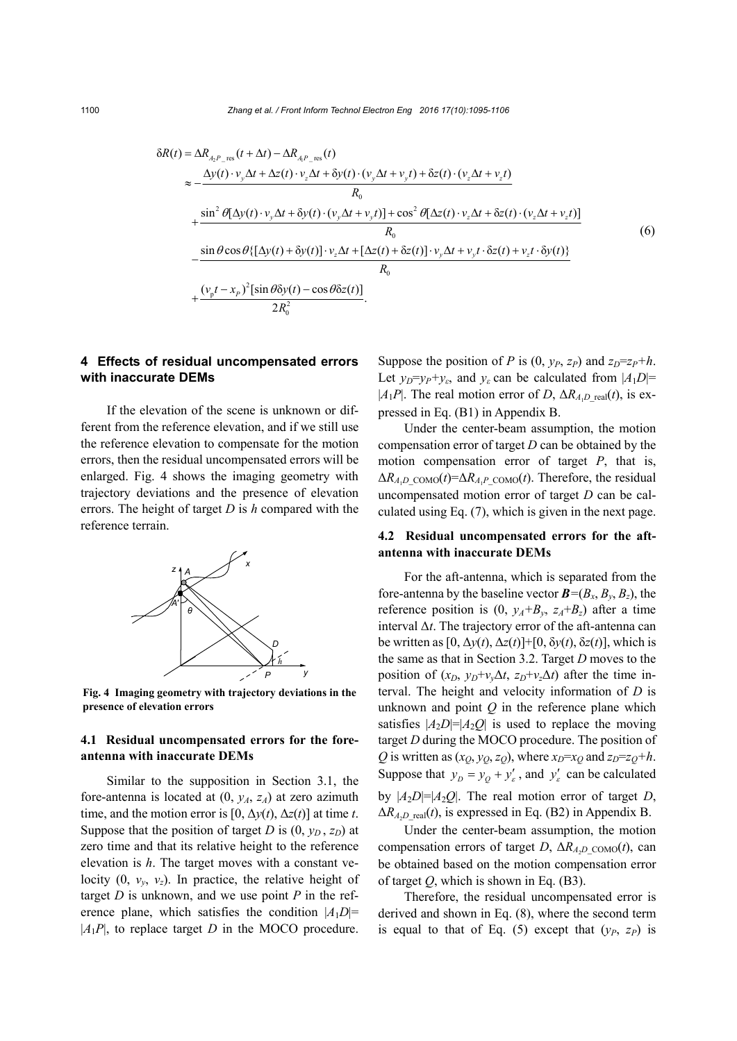$$
\delta R(t) = \Delta R_{A_2 P_{\perp} \text{res}}(t + \Delta t) - \Delta R_{A_1 P_{\perp} \text{res}}(t)
$$
  
\n
$$
\approx -\frac{\Delta y(t) \cdot v_y \Delta t + \Delta z(t) \cdot v_z \Delta t + \delta y(t) \cdot (v_y \Delta t + v_y t) + \delta z(t) \cdot (v_z \Delta t + v_z t)}{R_0}
$$
  
\n+
$$
\frac{\sin^2 \theta [\Delta y(t) \cdot v_y \Delta t + \delta y(t) \cdot (v_y \Delta t + v_y t)] + \cos^2 \theta [\Delta z(t) \cdot v_z \Delta t + \delta z(t) \cdot (v_z \Delta t + v_z t)]}{R_0}
$$
  
\n-
$$
\frac{\sin \theta \cos \theta {\Delta y(t) + \delta y(t)} \cdot v_z \Delta t + [\Delta z(t) + \delta z(t)] \cdot v_y \Delta t + v_y t \cdot \delta z(t) + v_z t \cdot \delta y(t)}{R_0}
$$
  
\n+
$$
\frac{(v_y t - x_p)^2 [\sin \theta \delta y(t) - \cos \theta \delta z(t)]}{2R_0^2}.
$$
 (6)

# **4 Effects of residual uncompensated errors with inaccurate DEMs**

If the elevation of the scene is unknown or different from the reference elevation, and if we still use the reference elevation to compensate for the motion errors, then the residual uncompensated errors will be enlarged. Fig. 4 shows the imaging geometry with trajectory deviations and the presence of elevation errors. The height of target *D* is *h* compared with the reference terrain.



**Fig. 4 Imaging geometry with trajectory deviations in the presence of elevation errors** 

### **4.1 Residual uncompensated errors for the foreantenna with inaccurate DEMs**

Similar to the supposition in Section 3.1, the fore-antenna is located at  $(0, y_A, z_A)$  at zero azimuth time, and the motion error is [0,  $\Delta y(t)$ ,  $\Delta z(t)$ ] at time *t*. Suppose that the position of target *D* is  $(0, y_D, z_D)$  at zero time and that its relative height to the reference elevation is *h*. The target moves with a constant velocity  $(0, v_y, v_z)$ . In practice, the relative height of target *D* is unknown, and we use point *P* in the reference plane, which satisfies the condition  $|A_1D|=$  $|A_1P|$ , to replace target *D* in the MOCO procedure.

Suppose the position of *P* is  $(0, y_P, z_P)$  and  $z_D = z_P + h$ . Let  $y_D = y_P + y_\varepsilon$ , and  $y_\varepsilon$  can be calculated from  $|A_1D|=$  $|A_1P|$ . The real motion error of *D*,  $\Delta R_{A,D}$  real(*t*), is expressed in Eq. (B1) in Appendix B.

Under the center-beam assumption, the motion compensation error of target *D* can be obtained by the motion compensation error of target *P*, that is,  $\Delta R_{A_1D}\text{-}\text{COMO}(t) = \Delta R_{A_1P}\text{-}\text{COMO}(t)$ . Therefore, the residual uncompensated motion error of target *D* can be calculated using Eq. (7), which is given in the next page.

# **4.2 Residual uncompensated errors for the aftantenna with inaccurate DEMs**

For the aft-antenna, which is separated from the fore-antenna by the baseline vector  $\mathbf{B} = (B_x, B_y, B_z)$ , the reference position is  $(0, y<sub>A</sub>+B<sub>v</sub>, z<sub>A</sub>+B<sub>z</sub>)$  after a time interval Δ*t*. The trajectory error of the aft-antenna can be written as  $[0, \Delta y(t), \Delta z(t)] + [0, \delta y(t), \delta z(t)]$ , which is the same as that in Section 3.2. Target *D* moves to the position of  $(x_D, y_D + v_y \Delta t, z_D + v_z \Delta t)$  after the time interval. The height and velocity information of *D* is unknown and point *Q* in the reference plane which satisfies  $|A_2D|=|A_2O|$  is used to replace the moving target *D* during the MOCO procedure. The position of *Q* is written as  $(x_Q, y_Q, z_Q)$ , where  $x_D = x_Q$  and  $z_D = z_Q + h$ . Suppose that  $y_D = y_Q + y'_\varepsilon$ , and  $y'_\varepsilon$  can be calculated by  $|A_2D|=|A_2Q|$ . The real motion error of target *D*,  $\Delta R_{A,D}$  real(*t*), is expressed in Eq. (B2) in Appendix B.

Under the center-beam assumption, the motion compensation errors of target D,  $\Delta R_{A,D}$   $_{\text{COMO}}(t)$ , can be obtained based on the motion compensation error of target *Q*, which is shown in Eq. (B3).

Therefore, the residual uncompensated error is derived and shown in Eq. (8), where the second term is equal to that of Eq. (5) except that  $(y_P, z_P)$  is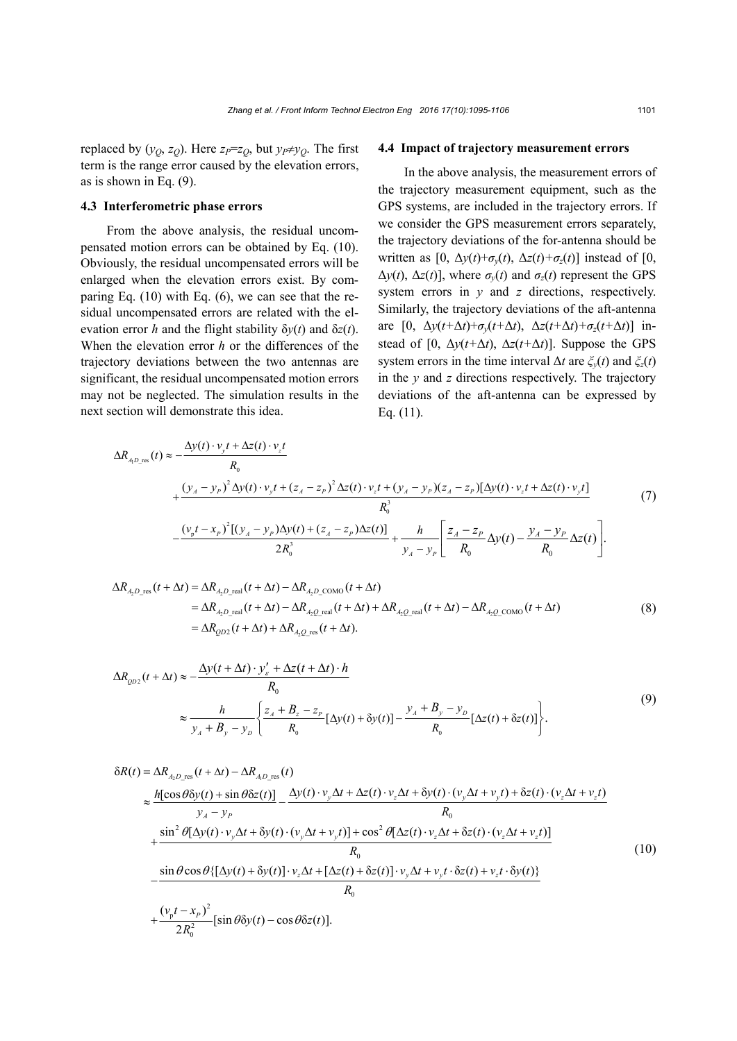replaced by  $(y_Q, z_Q)$ . Here  $z_P = z_Q$ , but  $y_P \neq y_Q$ . The first term is the range error caused by the elevation errors, as is shown in Eq. (9).

#### **4.3 Interferometric phase errors**

From the above analysis, the residual uncompensated motion errors can be obtained by Eq. (10). Obviously, the residual uncompensated errors will be enlarged when the elevation errors exist. By comparing Eq.  $(10)$  with Eq.  $(6)$ , we can see that the residual uncompensated errors are related with the elevation error *h* and the flight stability δ*y*(*t*) and δ*z*(*t*). When the elevation error *h* or the differences of the trajectory deviations between the two antennas are significant, the residual uncompensated motion errors may not be neglected. The simulation results in the next section will demonstrate this idea.

#### **4.4 Impact of trajectory measurement errors**

In the above analysis, the measurement errors of the trajectory measurement equipment, such as the GPS systems, are included in the trajectory errors. If we consider the GPS measurement errors separately, the trajectory deviations of the for-antenna should be written as  $[0, \Delta y(t) + \sigma_y(t), \Delta z(t) + \sigma_z(t)]$  instead of  $[0, \Delta z(t) + \sigma_z(t)]$  $Δy(t)$ ,  $Δz(t)$ ], where  $σ<sub>y</sub>(t)$  and  $σ<sub>z</sub>(t)$  represent the GPS system errors in *y* and *z* directions, respectively. Similarly, the trajectory deviations of the aft-antenna are  $[0, \Delta y(t+\Delta t)+\sigma_y(t+\Delta t), \Delta z(t+\Delta t)+\sigma_z(t+\Delta t)]$  instead of [0,  $\Delta y(t+\Delta t)$ ,  $\Delta z(t+\Delta t)$ ]. Suppose the GPS system errors in the time interval  $\Delta t$  are  $\zeta_y(t)$  and  $\zeta_z(t)$ in the *y* and *z* directions respectively. The trajectory deviations of the aft-antenna can be expressed by Eq. (11).

$$
\Delta R_{A_{P,\text{res}}}(t) \approx -\frac{\Delta y(t) \cdot v_y t + \Delta z(t) \cdot v_z t}{R_0} + \frac{(y_A - y_p)^2 \Delta y(t) \cdot v_y t + (z_A - z_p)^2 \Delta z(t) \cdot v_z t + (y_A - y_p)(z_A - z_p)[\Delta y(t) \cdot v_z t + \Delta z(t) \cdot v_y t]}{R_0^3} - \frac{(v_p t - x_p)^2 [(y_A - y_p) \Delta y(t) + (z_A - z_p) \Delta z(t)]}{2R_0^3} + \frac{h}{y_A - y_p} \left[ \frac{z_A - z_p}{R_0} \Delta y(t) - \frac{y_A - y_p}{R_0} \Delta z(t) \right].
$$
\n(7)

$$
\Delta R_{A_2D_{\text{res}}}(t + \Delta t) = \Delta R_{A_2D_{\text{real}}}(t + \Delta t) - \Delta R_{A_2D_{\text{COMO}}}(t + \Delta t)
$$
  
\n
$$
= \Delta R_{A_2D_{\text{real}}}(t + \Delta t) - \Delta R_{A_2Q_{\text{real}}}(t + \Delta t) + \Delta R_{A_2Q_{\text{real}}}(t + \Delta t) - \Delta R_{A_2Q_{\text{COMO}}}(t + \Delta t)
$$
  
\n
$$
= \Delta R_{QD2}(t + \Delta t) + \Delta R_{A_2Q_{\text{res}}}(t + \Delta t). \tag{8}
$$

$$
\Delta R_{\varrho_{D2}}(t + \Delta t) \approx -\frac{\Delta y(t + \Delta t) \cdot y_s' + \Delta z(t + \Delta t) \cdot h}{R_0}
$$
\n
$$
\approx \frac{h}{y_A + B_y - y_D} \left\{ \frac{z_A + B_z - z_p}{R_0} [\Delta y(t) + \delta y(t)] - \frac{y_A + B_y - y_D}{R_0} [\Delta z(t) + \delta z(t)] \right\}.
$$
\n(9)

$$
\delta R(t) = \Delta R_{A_2D_{\text{res}}}(t + \Delta t) - \Delta R_{A_1D_{\text{res}}}(t)
$$
  
\n
$$
\approx \frac{h[\cos\theta\delta y(t) + \sin\theta\delta z(t)]}{y_A - y_P} - \frac{\Delta y(t) \cdot v_y \Delta t + \Delta z(t) \cdot v_z \Delta t + \delta y(t) \cdot (v_y \Delta t + v_y t) + \delta z(t) \cdot (v_z \Delta t + v_z t)}{R_0}
$$
  
\n
$$
+ \frac{\sin^2\theta[\Delta y(t) \cdot v_y \Delta t + \delta y(t) \cdot (v_y \Delta t + v_y t)] + \cos^2\theta[\Delta z(t) \cdot v_z \Delta t + \delta z(t) \cdot (v_z \Delta t + v_z t)]}{R_0}
$$
  
\n
$$
- \frac{\sin\theta\cos\theta\{[\Delta y(t) + \delta y(t)] \cdot v_z \Delta t + [\Delta z(t) + \delta z(t)] \cdot v_y \Delta t + v_y t \cdot \delta z(t) + v_z t \cdot \delta y(t)\}}{R_0}
$$
  
\n
$$
+ \frac{(v_y t - x_p)^2}{2R_0^2} [\sin\theta\delta y(t) - \cos\theta\delta z(t)].
$$
\n(10)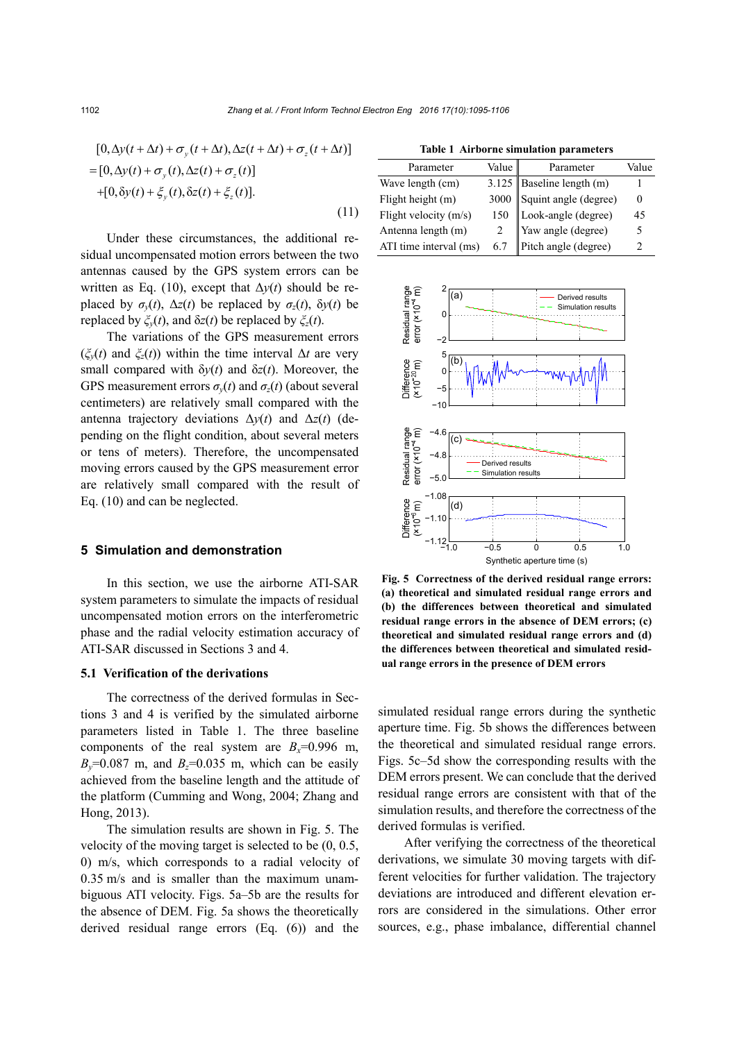$$
[0, \Delta y(t + \Delta t) + \sigma_y(t + \Delta t), \Delta z(t + \Delta t) + \sigma_z(t + \Delta t)]
$$
  
= [0, \Delta y(t) + \sigma\_y(t), \Delta z(t) + \sigma\_z(t)]  
+ [0, \delta y(t) + \xi\_y(t), \delta z(t) + \xi\_z(t)]. (11)

Under these circumstances, the additional residual uncompensated motion errors between the two antennas caused by the GPS system errors can be written as Eq. (10), except that  $\Delta v(t)$  should be replaced by  $\sigma_y(t)$ ,  $\Delta z(t)$  be replaced by  $\sigma_z(t)$ ,  $\delta y(t)$  be replaced by *ξy*(*t*), and δ*z*(*t*) be replaced by *ξz*(*t*).

The variations of the GPS measurement errors (*ξy*(*t*) and *ξz*(*t*)) within the time interval Δ*t* are very small compared with δ*y*(*t*) and δ*z*(*t*). Moreover, the GPS measurement errors  $\sigma_v(t)$  and  $\sigma_z(t)$  (about several centimeters) are relatively small compared with the antenna trajectory deviations  $\Delta y(t)$  and  $\Delta z(t)$  (depending on the flight condition, about several meters or tens of meters). Therefore, the uncompensated moving errors caused by the GPS measurement error are relatively small compared with the result of Eq. (10) and can be neglected.

## **5 Simulation and demonstration**

In this section, we use the airborne ATI-SAR system parameters to simulate the impacts of residual uncompensated motion errors on the interferometric phase and the radial velocity estimation accuracy of ATI-SAR discussed in Sections 3 and 4.

## **5.1 Verification of the derivations**

The correctness of the derived formulas in Sections 3 and 4 is verified by the simulated airborne parameters listed in Table 1. The three baseline components of the real system are  $B_x=0.996$  m,  $B_y=0.087$  m, and  $B_z=0.035$  m, which can be easily achieved from the baseline length and the attitude of the platform (Cumming and Wong, 2004; Zhang and Hong, 2013).

The simulation results are shown in Fig. 5. The velocity of the moving target is selected to be (0, 0.5, 0) m/s, which corresponds to a radial velocity of 0.35 m/s and is smaller than the maximum unambiguous ATI velocity. Figs. 5a–5b are the results for the absence of DEM. Fig. 5a shows the theoretically derived residual range errors (Eq. (6)) and the

**Table 1 Airborne simulation parameters** 

| Parameter              | Value | Parameter                  | Value |
|------------------------|-------|----------------------------|-------|
| Wave length (cm)       |       | 3.125 Baseline length (m)  |       |
| Flight height (m)      |       | 3000 Squint angle (degree) | 0     |
| Flight velocity (m/s)  |       | 150 Look-angle (degree)    | 45    |
| Antenna length (m)     |       | Yaw angle (degree)         | 5     |
| ATI time interval (ms) | 6.7   | Pitch angle (degree)       |       |



**Fig. 5 Correctness of the derived residual range errors: (a) theoretical and simulated residual range errors and (b) the differences between theoretical and simulated residual range errors in the absence of DEM errors; (c) theoretical and simulated residual range errors and (d) the differences between theoretical and simulated residual range errors in the presence of DEM errors**

simulated residual range errors during the synthetic aperture time. Fig. 5b shows the differences between the theoretical and simulated residual range errors. Figs. 5c–5d show the corresponding results with the DEM errors present. We can conclude that the derived residual range errors are consistent with that of the simulation results, and therefore the correctness of the derived formulas is verified.

After verifying the correctness of the theoretical derivations, we simulate 30 moving targets with different velocities for further validation. The trajectory deviations are introduced and different elevation errors are considered in the simulations. Other error sources, e.g., phase imbalance, differential channel

1102 *Zhang et al. / Front Inform Technol Electron Eng 2016 17(10):1095-1106*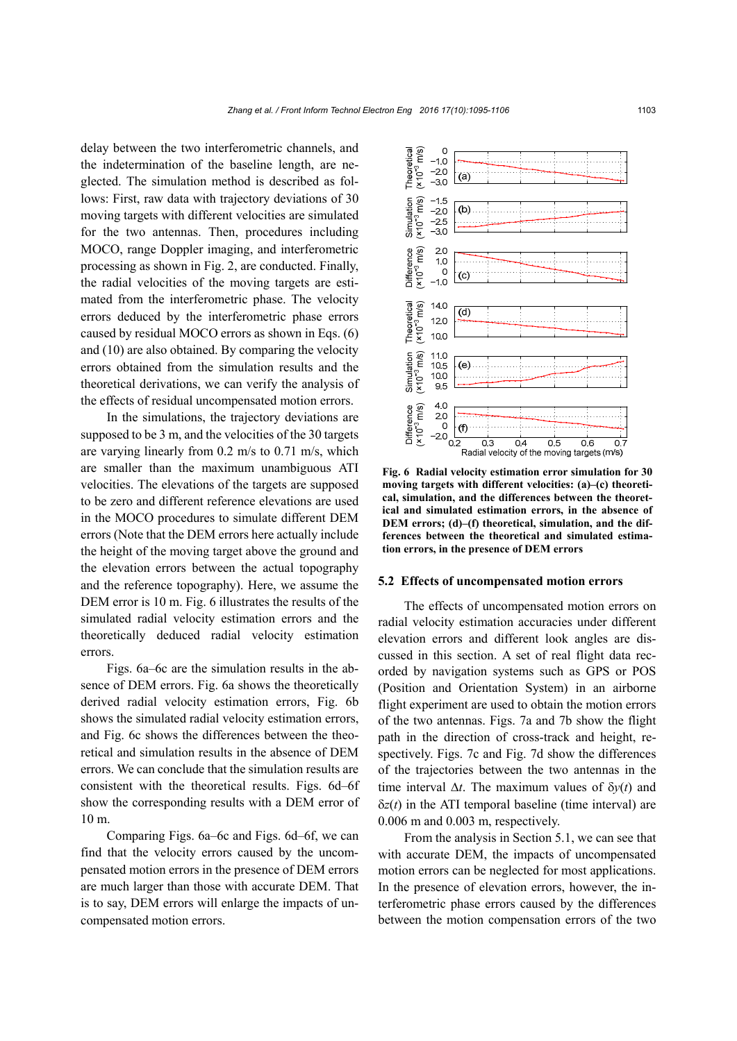delay between the two interferometric channels, and the indetermination of the baseline length, are neglected. The simulation method is described as follows: First, raw data with trajectory deviations of 30 moving targets with different velocities are simulated for the two antennas. Then, procedures including MOCO, range Doppler imaging, and interferometric processing as shown in Fig. 2, are conducted. Finally, the radial velocities of the moving targets are estimated from the interferometric phase. The velocity errors deduced by the interferometric phase errors caused by residual MOCO errors as shown in Eqs. (6) and (10) are also obtained. By comparing the velocity errors obtained from the simulation results and the theoretical derivations, we can verify the analysis of the effects of residual uncompensated motion errors.

In the simulations, the trajectory deviations are supposed to be 3 m, and the velocities of the 30 targets are varying linearly from 0.2 m/s to 0.71 m/s, which are smaller than the maximum unambiguous ATI velocities. The elevations of the targets are supposed to be zero and different reference elevations are used in the MOCO procedures to simulate different DEM errors (Note that the DEM errors here actually include the height of the moving target above the ground and the elevation errors between the actual topography and the reference topography). Here, we assume the DEM error is 10 m. Fig. 6 illustrates the results of the simulated radial velocity estimation errors and the theoretically deduced radial velocity estimation errors.

Figs. 6a–6c are the simulation results in the absence of DEM errors. Fig. 6a shows the theoretically derived radial velocity estimation errors, Fig. 6b shows the simulated radial velocity estimation errors, and Fig. 6c shows the differences between the theoretical and simulation results in the absence of DEM errors. We can conclude that the simulation results are consistent with the theoretical results. Figs. 6d–6f show the corresponding results with a DEM error of 10 m.

Comparing Figs. 6a–6c and Figs. 6d–6f, we can find that the velocity errors caused by the uncompensated motion errors in the presence of DEM errors are much larger than those with accurate DEM. That is to say, DEM errors will enlarge the impacts of uncompensated motion errors.



**Fig. 6 Radial velocity estimation error simulation for 30 moving targets with different velocities: (a)–(c) theoretical, simulation, and the differences between the theoretical and simulated estimation errors, in the absence of DEM errors; (d)–(f) theoretical, simulation, and the differences between the theoretical and simulated estimation errors, in the presence of DEM errors**

#### **5.2 Effects of uncompensated motion errors**

The effects of uncompensated motion errors on radial velocity estimation accuracies under different elevation errors and different look angles are discussed in this section. A set of real flight data recorded by navigation systems such as GPS or POS (Position and Orientation System) in an airborne flight experiment are used to obtain the motion errors of the two antennas. Figs. 7a and 7b show the flight path in the direction of cross-track and height, respectively. Figs. 7c and Fig. 7d show the differences of the trajectories between the two antennas in the time interval  $\Delta t$ . The maximum values of  $\delta y(t)$  and  $\delta z(t)$  in the ATI temporal baseline (time interval) are 0.006 m and 0.003 m, respectively.

From the analysis in Section 5.1, we can see that with accurate DEM, the impacts of uncompensated motion errors can be neglected for most applications. In the presence of elevation errors, however, the interferometric phase errors caused by the differences between the motion compensation errors of the two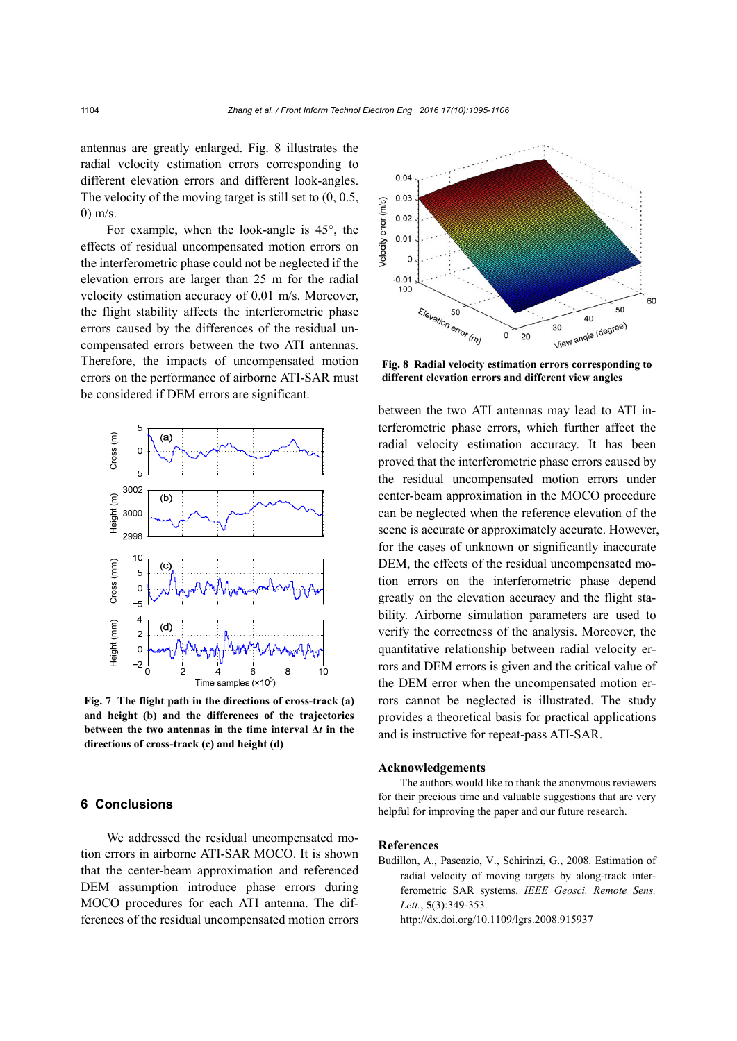antennas are greatly enlarged. Fig. 8 illustrates the radial velocity estimation errors corresponding to different elevation errors and different look-angles. The velocity of the moving target is still set to (0, 0.5, 0) m/s.

For example, when the look-angle is 45°, the effects of residual uncompensated motion errors on the interferometric phase could not be neglected if the elevation errors are larger than 25 m for the radial velocity estimation accuracy of 0.01 m/s. Moreover, the flight stability affects the interferometric phase errors caused by the differences of the residual uncompensated errors between the two ATI antennas. Therefore, the impacts of uncompensated motion errors on the performance of airborne ATI-SAR must be considered if DEM errors are significant.



**Fig. 7 The flight path in the directions of cross-track (a) and height (b) and the differences of the trajectories between the two antennas in the time interval**  $\Delta t$  **in the** 

# **6 Conclusions**

We addressed the residual uncompensated motion errors in airborne ATI-SAR MOCO. It is shown that the center-beam approximation and referenced DEM assumption introduce phase errors during MOCO procedures for each ATI antenna. The differences of the residual uncompensated motion errors



**Fig. 8 Radial velocity estimation errors corresponding to different elevation errors and different view angles** 

between the two ATI antennas may lead to ATI interferometric phase errors, which further affect the radial velocity estimation accuracy. It has been proved that the interferometric phase errors caused by the residual uncompensated motion errors under center-beam approximation in the MOCO procedure can be neglected when the reference elevation of the scene is accurate or approximately accurate. However, for the cases of unknown or significantly inaccurate DEM, the effects of the residual uncompensated motion errors on the interferometric phase depend greatly on the elevation accuracy and the flight stability. Airborne simulation parameters are used to verify the correctness of the analysis. Moreover, the quantitative relationship between radial velocity errors and DEM errors is given and the critical value of the DEM error when the uncompensated motion errors cannot be neglected is illustrated. The study provides a theoretical basis for practical applications and is instructive for repeat-pass ATI-SAR.

#### **Acknowledgements**

The authors would like to thank the anonymous reviewers for their precious time and valuable suggestions that are very helpful for improving the paper and our future research.

#### **References**

Budillon, A., Pascazio, V., Schirinzi, G., 2008. Estimation of radial velocity of moving targets by along-track interferometric SAR systems. *IEEE Geosci. Remote Sens. Lett.*, **5**(3):349-353.

http://dx.doi.org/10.1109/lgrs.2008.915937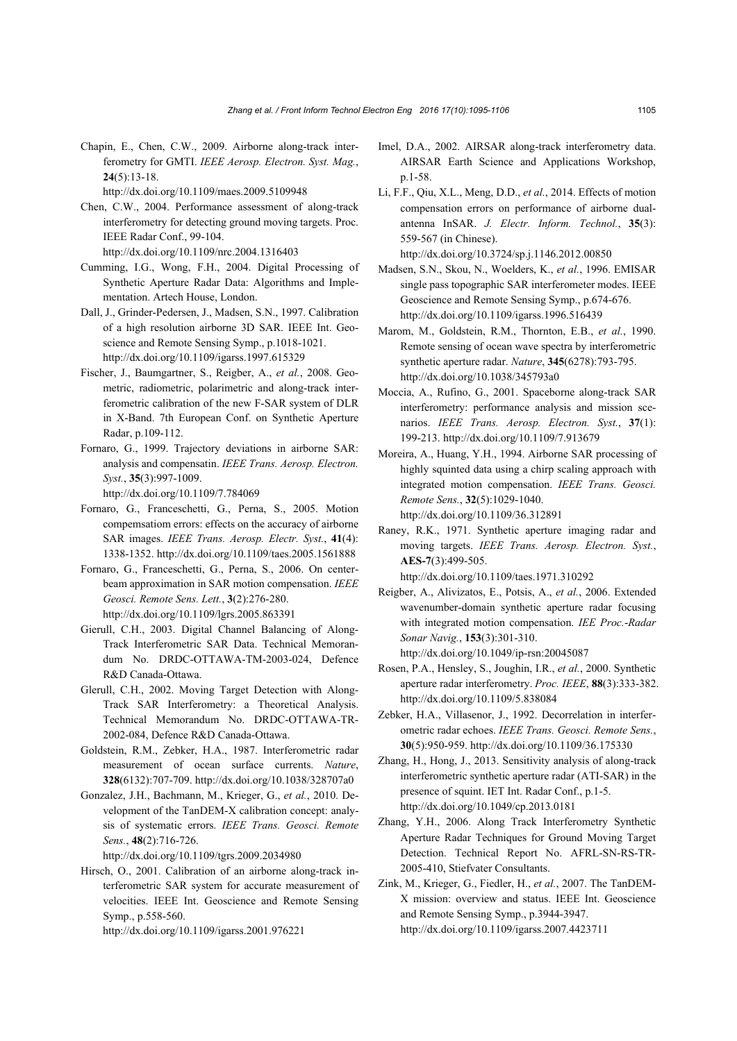Chapin, E., Chen, C.W., 2009. Airborne along-track interferometry for GMTI. *IEEE Aerosp. Electron. Syst. Mag.*, **24**(5):13-18.

http://dx.doi.org/10.1109/maes.2009.5109948

Chen, C.W., 2004. Performance assessment of along-track interferometry for detecting ground moving targets. Proc. IEEE Radar Conf., 99-104. http://dx.doi.org/10.1109/nrc.2004.1316403

- Cumming, I.G., Wong, F.H., 2004. Digital Processing of Synthetic Aperture Radar Data: Algorithms and Implementation. Artech House, London.
- Dall, J., Grinder-Pedersen, J., Madsen, S.N., 1997. Calibration of a high resolution airborne 3D SAR. IEEE Int. Geoscience and Remote Sensing Symp., p.1018-1021. http://dx.doi.org/10.1109/igarss.1997.615329
- Fischer, J., Baumgartner, S., Reigber, A., *et al.*, 2008. Geometric, radiometric, polarimetric and along-track interferometric calibration of the new F-SAR system of DLR in X-Band. 7th European Conf. on Synthetic Aperture Radar, p.109-112.
- Fornaro, G., 1999. Trajectory deviations in airborne SAR: analysis and compensatin. *IEEE Trans. Aerosp. Electron. Syst.*, **35**(3):997-1009.

http://dx.doi.org/10.1109/7.784069

- Fornaro, G., Franceschetti, G., Perna, S., 2005. Motion compemsatiom errors: effects on the accuracy of airborne SAR images. *IEEE Trans. Aerosp. Electr. Syst.*, **41**(4): 1338-1352. http://dx.doi.org/10.1109/taes.2005.1561888
- Fornaro, G., Franceschetti, G., Perna, S., 2006. On centerbeam approximation in SAR motion compensation. *IEEE Geosci. Remote Sens. Lett.*, **3**(2):276-280. http://dx.doi.org/10.1109/lgrs.2005.863391
- Gierull, C.H., 2003. Digital Channel Balancing of Along-Track Interferometric SAR Data. Technical Memorandum No. DRDC-OTTAWA-TM-2003-024, Defence R&D Canada-Ottawa.
- Glerull, C.H., 2002. Moving Target Detection with Along-Track SAR Interferometry: a Theoretical Analysis. Technical Memorandum No. DRDC-OTTAWA-TR-2002-084, Defence R&D Canada-Ottawa.
- Goldstein, R.M., Zebker, H.A., 1987. Interferometric radar measurement of ocean surface currents. *Nature*, **328**(6132):707-709. http://dx.doi.org/10.1038/328707a0
- Gonzalez, J.H., Bachmann, M., Krieger, G., *et al.*, 2010. Development of the TanDEM-X calibration concept: analysis of systematic errors. *IEEE Trans. Geosci. Remote Sens.*, **48**(2):716-726.

http://dx.doi.org/10.1109/tgrs.2009.2034980

Hirsch, O., 2001. Calibration of an airborne along-track interferometric SAR system for accurate measurement of velocities. IEEE Int. Geoscience and Remote Sensing Symp., p.558-560.

http://dx.doi.org/10.1109/igarss.2001.976221

- Imel, D.A., 2002. AIRSAR along-track interferometry data. AIRSAR Earth Science and Applications Workshop, p.1-58.
- Li, F.F., Qiu, X.L., Meng, D.D., *et al.*, 2014. Effects of motion compensation errors on performance of airborne dualantenna InSAR. *J. Electr. Inform. Technol.*, **35**(3): 559-567 (in Chinese).

http://dx.doi.org/10.3724/sp.j.1146.2012.00850

- Madsen, S.N., Skou, N., Woelders, K., *et al.*, 1996. EMISAR single pass topographic SAR interferometer modes. IEEE Geoscience and Remote Sensing Symp., p.674-676. http://dx.doi.org/10.1109/igarss.1996.516439
- Marom, M., Goldstein, R.M., Thornton, E.B., *et al.*, 1990. Remote sensing of ocean wave spectra by interferometric synthetic aperture radar. *Nature*, **345**(6278):793-795. http://dx.doi.org/10.1038/345793a0
- Moccia, A., Rufino, G., 2001. Spaceborne along-track SAR interferometry: performance analysis and mission scenarios. *IEEE Trans. Aerosp. Electron. Syst.*, **37**(1): 199-213. http://dx.doi.org/10.1109/7.913679
- Moreira, A., Huang, Y.H., 1994. Airborne SAR processing of highly squinted data using a chirp scaling approach with integrated motion compensation. *IEEE Trans. Geosci. Remote Sens.*, **32**(5):1029-1040. http://dx.doi.org/10.1109/36.312891
- Raney, R.K., 1971. Synthetic aperture imaging radar and moving targets. *IEEE Trans. Aerosp. Electron. Syst.*, **AES-7**(3):499-505.

http://dx.doi.org/10.1109/taes.1971.310292

- Reigber, A., Alivizatos, E., Potsis, A., *et al.*, 2006. Extended wavenumber-domain synthetic aperture radar focusing with integrated motion compensation. *IEE Proc.*-*Radar Sonar Navig.*, **153**(3):301-310. http://dx.doi.org/10.1049/ip-rsn:20045087
- Rosen, P.A., Hensley, S., Joughin, I.R., *et al.*, 2000. Synthetic aperture radar interferometry. *Proc. IEEE*, **88**(3):333-382. http://dx.doi.org/10.1109/5.838084
- Zebker, H.A., Villasenor, J., 1992. Decorrelation in interferometric radar echoes. *IEEE Trans. Geosci. Remote Sens.*, **30**(5):950-959. http://dx.doi.org/10.1109/36.175330
- Zhang, H., Hong, J., 2013. Sensitivity analysis of along-track interferometric synthetic aperture radar (ATI-SAR) in the presence of squint. IET Int. Radar Conf., p.1-5. http://dx.doi.org/10.1049/cp.2013.0181
- Zhang, Y.H., 2006. Along Track Interferometry Synthetic Aperture Radar Techniques for Ground Moving Target Detection. Technical Report No. AFRL-SN-RS-TR-2005-410, Stiefvater Consultants.
- Zink, M., Krieger, G., Fiedler, H., *et al.*, 2007. The TanDEM-X mission: overview and status. IEEE Int. Geoscience and Remote Sensing Symp., p.3944-3947. http://dx.doi.org/10.1109/igarss.2007.4423711